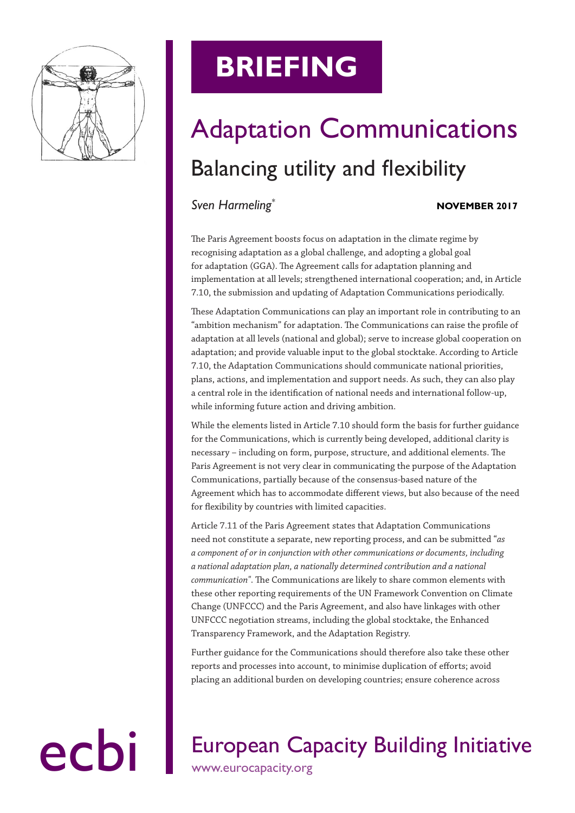

# **BRIEFING**

# Adaptation Communications Balancing utility and flexibility

### *Sven Harmeling\**

#### **NOVEMBER 2017**

The Paris Agreement boosts focus on adaptation in the climate regime by recognising adaptation as a global challenge, and adopting a global goal for adaptation (GGA). The Agreement calls for adaptation planning and implementation at all levels; strengthened international cooperation; and, in Article 7.10, the submission and updating of Adaptation Communications periodically.

These Adaptation Communications can play an important role in contributing to an "ambition mechanism" for adaptation. The Communications can raise the profile of adaptation at all levels (national and global); serve to increase global cooperation on adaptation; and provide valuable input to the global stocktake. According to Article 7.10, the Adaptation Communications should communicate national priorities, plans, actions, and implementation and support needs. As such, they can also play a central role in the identification of national needs and international follow-up, while informing future action and driving ambition.

While the elements listed in Article 7.10 should form the basis for further guidance for the Communications, which is currently being developed, additional clarity is necessary – including on form, purpose, structure, and additional elements. The Paris Agreement is not very clear in communicating the purpose of the Adaptation Communications, partially because of the consensus-based nature of the Agreement which has to accommodate different views, but also because of the need for flexibility by countries with limited capacities.

Article 7.11 of the Paris Agreement states that Adaptation Communications need not constitute a separate, new reporting process, and can be submitted "*as a component of or in conjunction with other communications or documents, including a national adaptation plan, a nationally determined contribution and a national communication"*. The Communications are likely to share common elements with these other reporting requirements of the UN Framework Convention on Climate Change (UNFCCC) and the Paris Agreement, and also have linkages with other UNFCCC negotiation streams, including the global stocktake, the Enhanced Transparency Framework, and the Adaptation Registry.

Further guidance for the Communications should therefore also take these other reports and processes into account, to minimise duplication of efforts; avoid placing an additional burden on developing countries; ensure coherence across

### ecbi European Capacity Building Initiative www.eurocapacity.org